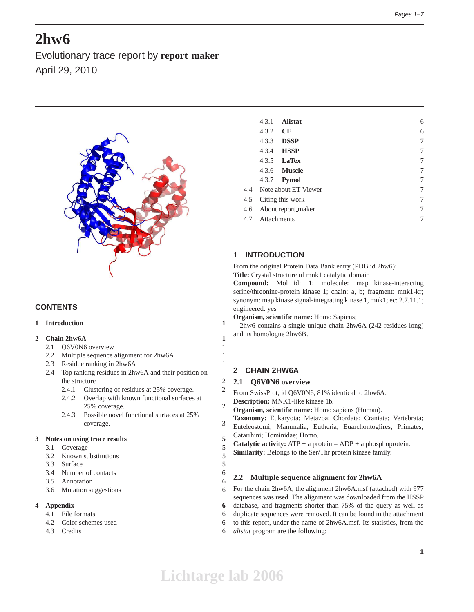# **2hw6**

Evolutionary trace report by **report maker** April 29, 2010



# **CONTENTS**

## **1 Introduction 1**

## **2 Chain 2hw6A 1**

- 2.1 Q6V0N6 overview 1
- 2.2 Multiple sequence alignment for 2hw6A 1
- 2.3 Residue ranking in 2hw6A 1
- 2.4 Top ranking residues in 2hw6A and their position on the structure 2
	- 2.4.1 Clustering of residues at 25% coverage. 2
	- 2.4.2 Overlap with known functional surfaces at 25% coverage. 2
	- 2.4.3 Possible novel functional surfaces at 25% coverage. 3

#### **3 Notes on using trace results 5**

- 3.1 Coverage 5
- 3.2 Known substitutions 5
- 3.3 Surface 5
- 3.4 Number of contacts 6
- 3.5 Annotation 6
- 3.6 Mutation suggestions 6

#### **4 Appendix 6**

- 4.1 File formats 6
- 4.2 Color schemes used 6
- 4.3 Credits 6

|     | 4.3.1       | <b>Alistat</b>           | 6              |
|-----|-------------|--------------------------|----------------|
|     | 4.3.2       | <b>CE</b>                | 6              |
|     | 4.3.3       | <b>DSSP</b>              | 7              |
|     | 4.3.4       | <b>HSSP</b>              | 7              |
|     |             | 4.3.5 <b>LaTex</b>       | $\overline{7}$ |
|     |             | 4.3.6 <b>Muscle</b>      | 7              |
|     |             | 4.3.7 <b>Pymol</b>       | 7              |
|     |             | 4.4 Note about ET Viewer | 7              |
| 4.5 |             | Citing this work         | 7              |
| 4.6 |             | About report_maker       | 7              |
| 4.7 | Attachments |                          | 7              |
|     |             |                          |                |

## **1 INTRODUCTION**

From the original Protein Data Bank entry (PDB id 2hw6): **Title:** Crystal structure of mnk1 catalytic domain

**Compound:** Mol id: 1; molecule: map kinase-interacting serine/threonine-protein kinase 1; chain: a, b; fragment: mnk1-kr; synonym: map kinase signal-integrating kinase 1, mnk1; ec: 2.7.11.1; engineered: yes

**Organism, scientific name:** Homo Sapiens;

2hw6 contains a single unique chain 2hw6A (242 residues long) and its homologue 2hw6B.

# **2 CHAIN 2HW6A**

## **2.1 Q6V0N6 overview**

- From SwissProt, id Q6V0N6, 81% identical to 2hw6A:
- **Description:** MNK1-like kinase 1b.
- **Organism, scientific name:** Homo sapiens (Human).
- **Taxonomy:** Eukaryota; Metazoa; Chordata; Craniata; Vertebrata; Euteleostomi; Mammalia; Eutheria; Euarchontoglires; Primates; Catarrhini; Hominidae; Homo.
- **Catalytic activity:** ATP + a protein = ADP + a phosphoprotein.
- **Similarity:** Belongs to the Ser/Thr protein kinase family.

## **2.2 Multiple sequence alignment for 2hw6A**

For the chain 2hw6A, the alignment 2hw6A.msf (attached) with 977 sequences was used. The alignment was downloaded from the HSSP database, and fragments shorter than 75% of the query as well as duplicate sequences were removed. It can be found in the attachment to this report, under the name of 2hw6A.msf. Its statistics, from the

*alistat* program are the following: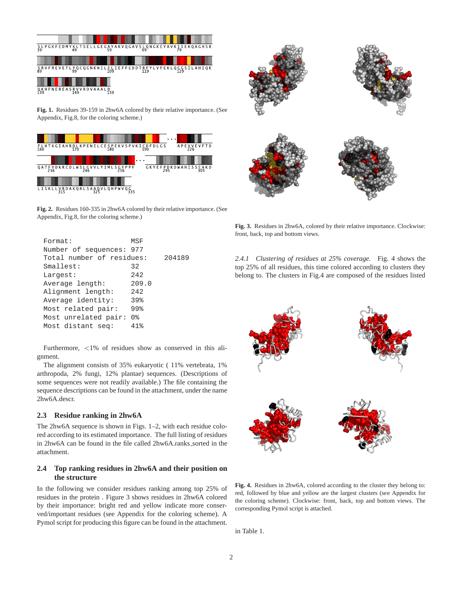

**Fig. 1.** Residues 39-159 in 2hw6A colored by their relative importance. (See Appendix, Fig.8, for the coloring scheme.)



**Fig. 2.** Residues 160-335 in 2hw6A colored by their relative importance. (See Appendix, Fig.8, for the coloring scheme.)

| Format:                   | MSF   |        |
|---------------------------|-------|--------|
| Number of sequences: 977  |       |        |
| Total number of residues: |       | 204189 |
| Smallest:                 | 32    |        |
| Largest:                  | 242   |        |
| Average length:           | 209.0 |        |
| Alignment length:         | 242   |        |
| Average identity:         | 39%   |        |
| Most related pair:        | 99%   |        |
| Most unrelated pair:      | 0 %   |        |
| Most distant seq:         | 41%   |        |

Furthermore, <1% of residues show as conserved in this alignment.

The alignment consists of 35% eukaryotic ( 11% vertebrata, 1% arthropoda, 2% fungi, 12% plantae) sequences. (Descriptions of some sequences were not readily available.) The file containing the sequence descriptions can be found in the attachment, under the name 2hw6A.descr.

#### **2.3 Residue ranking in 2hw6A**

The 2hw6A sequence is shown in Figs. 1–2, with each residue colored according to its estimated importance. The full listing of residues in 2hw6A can be found in the file called 2hw6A.ranks\_sorted in the attachment.

## **2.4 Top ranking residues in 2hw6A and their position on the structure**

In the following we consider residues ranking among top 25% of residues in the protein . Figure 3 shows residues in 2hw6A colored by their importance: bright red and yellow indicate more conserved/important residues (see Appendix for the coloring scheme). A Pymol script for producing this figure can be found in the attachment.



**Fig. 3.** Residues in 2hw6A, colored by their relative importance. Clockwise: front, back, top and bottom views.

*2.4.1 Clustering of residues at 25% coverage.* Fig. 4 shows the top 25% of all residues, this time colored according to clusters they belong to. The clusters in Fig.4 are composed of the residues listed



**Fig. 4.** Residues in 2hw6A, colored according to the cluster they belong to: red, followed by blue and yellow are the largest clusters (see Appendix for the coloring scheme). Clockwise: front, back, top and bottom views. The corresponding Pymol script is attached.

in Table 1.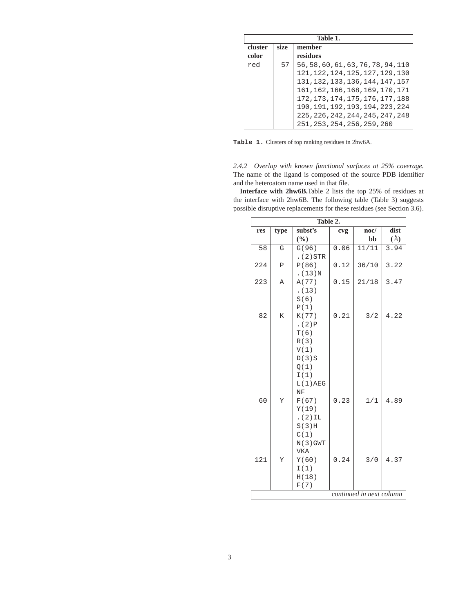|         | Table 1. |                                     |  |  |  |
|---------|----------|-------------------------------------|--|--|--|
| cluster | size     | member                              |  |  |  |
| color   |          | residues                            |  |  |  |
| red     | 57       | 56, 58, 60, 61, 63, 76, 78, 94, 110 |  |  |  |
|         |          | 121, 122, 124, 125, 127, 129, 130   |  |  |  |
|         |          | 131, 132, 133, 136, 144, 147, 157   |  |  |  |
|         |          | 161, 162, 166, 168, 169, 170, 171   |  |  |  |
|         |          | 172, 173, 174, 175, 176, 177, 188   |  |  |  |
|         |          | 190, 191, 192, 193, 194, 223, 224   |  |  |  |
|         |          | 225, 226, 242, 244, 245, 247, 248   |  |  |  |
|         |          | 251, 253, 254, 256, 259, 260        |  |  |  |

**Table 1.** Clusters of top ranking residues in 2hw6A.

*2.4.2 Overlap with known functional surfaces at 25% coverage.* The name of the ligand is composed of the source PDB identifier and the heteroatom name used in that file.

**Interface with 2hw6B.**Table 2 lists the top 25% of residues at the interface with 2hw6B. The following table (Table 3) suggests possible disruptive replacements for these residues (see Section 3.6).

| Table 2. |              |                  |      |                          |      |  |
|----------|--------------|------------------|------|--------------------------|------|--|
| res      | type         | subst's          | cvg  | $\mathbf{noc}/$          | dist |  |
|          |              | (%)              |      | bb                       | (A)  |  |
| 58       | G            | G(96)            | 0.06 | 11/11                    | 3.94 |  |
|          |              | $(2)$ STR        |      |                          |      |  |
| 224      | $\, {\bf P}$ | P(86)            | 0.12 | 36/10                    | 3.22 |  |
|          |              | . (13)N          |      |                          |      |  |
| 223      | A            | A(77)            | 0.15 | 21/18                    | 3.47 |  |
|          |              | . (13)           |      |                          |      |  |
|          |              | S(6)             |      |                          |      |  |
|          |              | P(1)             |      |                          |      |  |
| 82       | K            | K(77)            | 0.21 | 3/2                      | 4.22 |  |
|          |              | . $(2)P$<br>T(6) |      |                          |      |  |
|          |              | R(3)             |      |                          |      |  |
|          |              | V(1)             |      |                          |      |  |
|          |              | D(3)S            |      |                          |      |  |
|          |              | Q(1)             |      |                          |      |  |
|          |              | I(1)             |      |                          |      |  |
|          |              | $L(1)$ AEG       |      |                          |      |  |
|          |              | NF               |      |                          |      |  |
| 60       | Y            | F(67)            | 0.23 | 1/1                      | 4.89 |  |
|          |              | Y(19)            |      |                          |      |  |
|          |              | $. (2)$ IL       |      |                          |      |  |
|          |              | S(3)H            |      |                          |      |  |
|          |              | C(1)             |      |                          |      |  |
|          |              | $N(3)$ GWT       |      |                          |      |  |
| 121      |              | <b>VKA</b>       | 0.24 |                          | 4.37 |  |
|          | Υ            | Y(60)            |      | 3/0                      |      |  |
|          |              | I(1)<br>H(18)    |      |                          |      |  |
|          |              | F(7)             |      |                          |      |  |
|          |              |                  |      | continued in next column |      |  |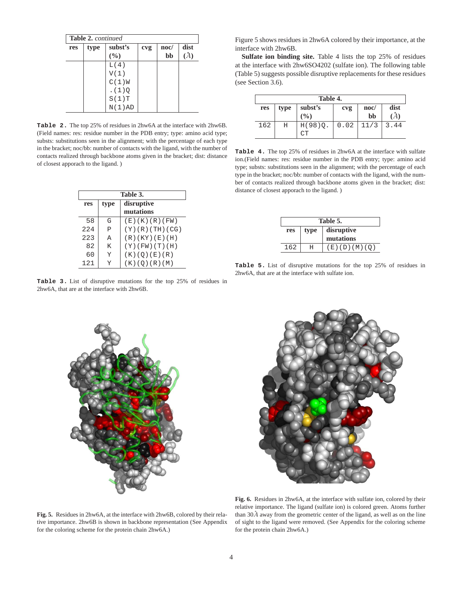| Table 2. continued |      |           |     |                 |      |
|--------------------|------|-----------|-----|-----------------|------|
| res                | type | subst's   | cvg | $\mathbf{noc}/$ | dist |
|                    |      | (%)       |     | bb              |      |
|                    |      | L(4)      |     |                 |      |
|                    |      | V(1)      |     |                 |      |
|                    |      | $C(1)$ W  |     |                 |      |
|                    |      | . (1)Q    |     |                 |      |
|                    |      | S(1)T     |     |                 |      |
|                    |      | $N(1)$ AD |     |                 |      |

**Table 2.** The top 25% of residues in 2hw6A at the interface with 2hw6B. (Field names: res: residue number in the PDB entry; type: amino acid type; substs: substitutions seen in the alignment; with the percentage of each type in the bracket; noc/bb: number of contacts with the ligand, with the number of contacts realized through backbone atoms given in the bracket; dist: distance of closest apporach to the ligand. )

| Table 3. |                    |                           |  |  |  |
|----------|--------------------|---------------------------|--|--|--|
| res      | disruptive<br>type |                           |  |  |  |
|          |                    | mutations                 |  |  |  |
| 58       | G                  | (E)(K)(R)(FW)             |  |  |  |
| 2.2.4    | P                  | $(Y)$ $(R)$ $(TH)$ $(CG)$ |  |  |  |
| 223      | A                  | (R) (KY) (E) (H)          |  |  |  |
| 82       | K                  | $(Y)$ (FW) $(T)$ (H)      |  |  |  |
| 60       | Y                  | (K)(O)(E)(R)              |  |  |  |
| 121      |                    | (K)(O)(R)(M)              |  |  |  |

**Table 3.** List of disruptive mutations for the top 25% of residues in 2hw6A, that are at the interface with 2hw6B.

Figure 5 shows residues in 2hw6A colored by their importance, at the interface with 2hw6B.

**Sulfate ion binding site.** Table 4 lists the top 25% of residues at the interface with 2hw6SO4202 (sulfate ion). The following table (Table 5) suggests possible disruptive replacements for these residues (see Section 3.6).

|     | Table 4. |                |             |                   |                  |  |  |
|-----|----------|----------------|-------------|-------------------|------------------|--|--|
| res | type     | subst's<br>(%) | cvg         | $\bf{noc}/$<br>bb | dist<br>$\bm{A}$ |  |  |
| 162 | Η        | H(98)Q.<br>CΤ  | 0.02   11/3 |                   | 3.44             |  |  |

**Table 4.** The top 25% of residues in 2hw6A at the interface with sulfate ion.(Field names: res: residue number in the PDB entry; type: amino acid type; substs: substitutions seen in the alignment; with the percentage of each type in the bracket; noc/bb: number of contacts with the ligand, with the number of contacts realized through backbone atoms given in the bracket; dist: distance of closest apporach to the ligand. )

|     | Table 5.           |              |  |  |  |  |
|-----|--------------------|--------------|--|--|--|--|
| res | disruptive<br>type |              |  |  |  |  |
|     |                    | mutations    |  |  |  |  |
| 162 |                    | (E)(D)(M)(O) |  |  |  |  |

**Table 5.** List of disruptive mutations for the top 25% of residues in 2hw6A, that are at the interface with sulfate ion.



**Fig. 5.** Residues in 2hw6A, at the interface with 2hw6B, colored by their relative importance. 2hw6B is shown in backbone representation (See Appendix for the coloring scheme for the protein chain 2hw6A.)



**Fig. 6.** Residues in 2hw6A, at the interface with sulfate ion, colored by their relative importance. The ligand (sulfate ion) is colored green. Atoms further than  $30\AA$  away from the geometric center of the ligand, as well as on the line of sight to the ligand were removed. (See Appendix for the coloring scheme for the protein chain 2hw6A.)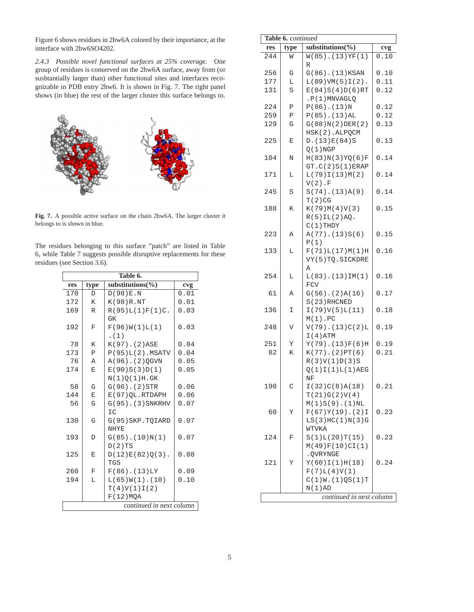Figure 6 shows residues in 2hw6A colored by their importance, at the interface with 2hw6SO4202.

*2.4.3 Possible novel functional surfaces at 25% coverage.* One group of residues is conserved on the 2hw6A surface, away from (or susbtantially larger than) other functional sites and interfaces recognizable in PDB entry 2hw6. It is shown in Fig. 7. The right panel shows (in blue) the rest of the larger cluster this surface belongs to.



**Fig. 7.** A possible active surface on the chain 2hw6A. The larger cluster it belongs to is shown in blue.

The residues belonging to this surface "patch" are listed in Table 6, while Table 7 suggests possible disruptive replacements for these residues (see Section 3.6).

| Table 6.                 |                |                        |      |  |  |
|--------------------------|----------------|------------------------|------|--|--|
| res                      | type           | substitutions $(\% )$  | cvg  |  |  |
| 170                      | $\Gamma$       | D(98)E.N               | 0.01 |  |  |
| 172                      | K              | K(98)R.NT              | 0.01 |  |  |
| 169                      | $\mathbb{R}$   | R(95)L(1)F(1)C.        | 0.03 |  |  |
|                          |                | <b>GK</b>              |      |  |  |
| 192                      | $\mathbf{F}$   | F(96)W(1)L(1)          | 0.03 |  |  |
|                          |                | . (1)                  |      |  |  |
| 78                       | K              | $K(97)$ . $(2)$ ASE    | 0.04 |  |  |
| 173                      | $\mathbf{P}$   | $P(95)L(2)$ . MSATV    | 0.04 |  |  |
| 76                       | $\overline{A}$ | $A(96)$ . (2) QGVN     | 0.05 |  |  |
| 174                      | E              | E(90)S(3)D(1)          | 0.05 |  |  |
|                          |                | N(1)O(1)H.GK           |      |  |  |
| 58                       | G              | $G(96)$ . $(2)$ STR    | 0.06 |  |  |
| 144                      | $\mathbf E$    | E(97) QL. RTDAPH       | 0.06 |  |  |
| 56                       | G              | $G(95)$ . $(3)$ SNKRHV | 0.07 |  |  |
|                          |                | IC                     |      |  |  |
| 130                      | G              | G(95)SKP.TOIARD        | 0.07 |  |  |
|                          |                | <b>NHYE</b>            |      |  |  |
| 193                      | $\overline{D}$ | $G(85)$ . $(10)N(1)$   | 0.07 |  |  |
|                          |                | $D(2)$ TS              |      |  |  |
| 125                      | E              | $D(12)E(82)Q(3)$ .     | 0.08 |  |  |
|                          |                | <b>TGS</b>             |      |  |  |
| 260                      | $\mathbf{F}$   | $F(86)$ . $(13)LY$     | 0.09 |  |  |
| 194                      | L              | $L(65)W(1)$ . (10)     | 0.10 |  |  |
|                          |                | T(4)V(1)I(2)           |      |  |  |
|                          |                | $F(12)$ MQA            |      |  |  |
| continued in next column |                |                        |      |  |  |
|                          |                |                        |      |  |  |

| Table 6. continued |      |                          |      |  |  |  |
|--------------------|------|--------------------------|------|--|--|--|
| res                | type | substitutions( $\%$ )    | cvg  |  |  |  |
| 244                | W    | $W(85)$ . $(13)YF(1)$    | 0.10 |  |  |  |
|                    |      | R                        |      |  |  |  |
| 256                | G    | $G(86)$ . (13) KSAN      | 0.10 |  |  |  |
| 177                | Г    | $L(89)$ VM(5) $I(2)$ .   | 0.11 |  |  |  |
| 131                | S    | E(84)S(4)D(6)RT          | 0.12 |  |  |  |
|                    |      | $.P(1)$ MNVAGLQ          |      |  |  |  |
| 224                | Ρ    | $P(86)$ . (13) N         | 0.12 |  |  |  |
| 259                | Ρ    | $P(85)$ . $(13)$ AL      | 0.12 |  |  |  |
| 129                | G    | $G(88)N(2)$ DER(2)       | 0.13 |  |  |  |
|                    |      | HSK(2).ALPQCM            |      |  |  |  |
| 225                | Ε    | D. (13)E(84)S            | 0.13 |  |  |  |
|                    |      | Q(1)NGP                  |      |  |  |  |
| 104                | Ν    | H(83)N(3)YQ(6)F          | 0.14 |  |  |  |
|                    |      | GT.C(2)S(1)ERAP          |      |  |  |  |
| 171                | L    | L(79)I(13)M(2)           | 0.14 |  |  |  |
|                    |      | $V(2)$ .F                |      |  |  |  |
| 245                | S    | $S(74)$ . $(13)A(9)$     | 0.14 |  |  |  |
|                    |      | T(2)CG                   |      |  |  |  |
| 188                | K    | K(79)M(4)V(3)            | 0.15 |  |  |  |
|                    |      | $R(5)$ IL $(2)$ AQ.      |      |  |  |  |
|                    |      | $C(1)$ THDY              |      |  |  |  |
| 223                | Α    | $A(77)$ . $(13)S(6)$     | 0.15 |  |  |  |
|                    |      | P(1)                     |      |  |  |  |
| 133                | Г    | F(71)L(17)M(1)H          | 0.16 |  |  |  |
|                    |      | VY(5)TQ.SICKDRE          |      |  |  |  |
|                    |      | Α                        |      |  |  |  |
| 254                | Г    | $L(83)$ . (13) IM(1)     | 0.16 |  |  |  |
|                    |      | FCV                      |      |  |  |  |
| 61                 | Α    | $G(56)$ . $(2)A(16)$     | 0.17 |  |  |  |
|                    |      | $S(23)$ RHCNED           |      |  |  |  |
| 136                | I    | I(79)V(5)L(11)           | 0.18 |  |  |  |
|                    |      | $M(1)$ . PC              |      |  |  |  |
| 248                | V    | $V(79)$ . $(13)C(2)L$    | 0.19 |  |  |  |
|                    |      | I(4)ATM                  |      |  |  |  |
| 251                | Υ    | $Y(79)$ . $(13)F(6)H$    | 0.19 |  |  |  |
| 82                 | К    | $K(77)$ . $(2)PT(6)$     | 0.21 |  |  |  |
|                    |      | R(3)V(1)D(3)S            |      |  |  |  |
|                    |      | Q(1)I(1)L(1)AEG          |      |  |  |  |
|                    |      | ΝF                       |      |  |  |  |
| 190                | С    | I(32)C(8)A(18)           | 0.21 |  |  |  |
|                    |      | T(21)G(2)V(4)            |      |  |  |  |
|                    |      | $M(1)S(9)$ . $(1)NL$     |      |  |  |  |
| 60                 | Υ    | $F(67)Y(19)$ . (2) I     | 0.23 |  |  |  |
|                    |      | LS(3)HC(1)N(3)G          |      |  |  |  |
|                    |      | <b>WTVKA</b>             |      |  |  |  |
| 124                | F    | S(1)L(20)T(15)           | 0.23 |  |  |  |
|                    |      | M(49)F(10)CI(1)          |      |  |  |  |
|                    |      | .QVRYNGE                 |      |  |  |  |
| 121                | Υ    | Y(60)I(1)H(18)           | 0.24 |  |  |  |
|                    |      | F(7)L(4)V(1)             |      |  |  |  |
|                    |      | C(1)W.(1)QS(1)T          |      |  |  |  |
|                    |      | $N(1)$ AD                |      |  |  |  |
|                    |      | continued in next column |      |  |  |  |
|                    |      |                          |      |  |  |  |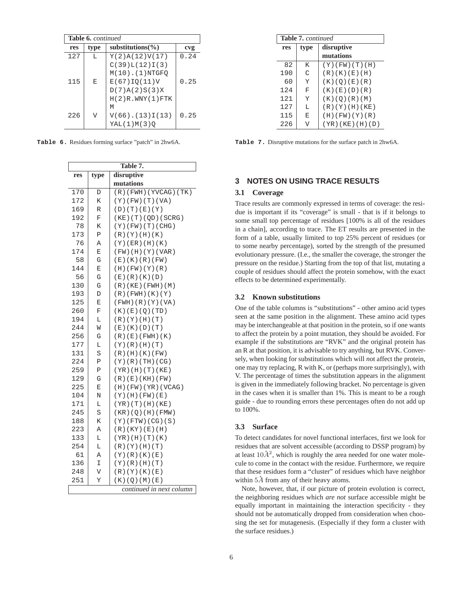| <b>Table 6.</b> continued |                |                       |      |  |  |  |
|---------------------------|----------------|-----------------------|------|--|--|--|
| res                       | type           | substitutions $(\% )$ | cvg  |  |  |  |
| 127                       | T.             | Y(2)A(12)V(17)        | 0.24 |  |  |  |
|                           |                | C(39)L(12)I(3)        |      |  |  |  |
|                           |                | $M(10)$ . $(1)$ NTGFQ |      |  |  |  |
| 115                       | E              | E(67)IO(11)V          | 0.25 |  |  |  |
|                           |                | D(7)A(2)S(3)X         |      |  |  |  |
|                           |                | H(2)R.WNY(1)FTK       |      |  |  |  |
|                           |                | M                     |      |  |  |  |
| 2.26                      | $\overline{V}$ | $V(66)$ . $(13)I(13)$ | 0.25 |  |  |  |
|                           |                | YAL(1)M(3)Q           |      |  |  |  |

**Table 6.** Residues forming surface "patch" in 2hw6A.

|     | Table 7.    |                          |  |  |  |  |
|-----|-------------|--------------------------|--|--|--|--|
| res | type        | disruptive               |  |  |  |  |
|     |             | mutations                |  |  |  |  |
| 170 | D           | $(R)$ (FWH) (YVCAG) (TK) |  |  |  |  |
| 172 | K           | $(Y)$ (FW) $(T)$ (VA)    |  |  |  |  |
| 169 | R           | (D)(T)(E)(Y)             |  |  |  |  |
| 192 | F           | $(KE)$ (T) (QD) (SCRG)   |  |  |  |  |
| 78  | Κ           | $(Y)$ (FW) (T) (CHG)     |  |  |  |  |
| 173 | Ρ           | (R)(Y)(H)(K)             |  |  |  |  |
| 76  | Α           | $(Y)$ (ER) (H) (K)       |  |  |  |  |
| 174 | Ε           | (FW) (H) (Y) (VAR)       |  |  |  |  |
| 58  | G           | $(E)$ (K) (R) (FW)       |  |  |  |  |
| 144 | E           | (H) (FW) (Y) (R)         |  |  |  |  |
| 56  | G           | (E)(R)(K)(D)             |  |  |  |  |
| 130 | G           | $(R)$ (KE) (FWH) (M)     |  |  |  |  |
| 193 | D           | $(R)$ (FWH) $(K)$ (Y)    |  |  |  |  |
| 125 | Ε           | (FWH)(R)(Y)(VA)          |  |  |  |  |
| 260 | F           | (K)(E)(Q)(TD)            |  |  |  |  |
| 194 | L           | (R)(Y)(H)(T)             |  |  |  |  |
| 244 | W           | (E)(K)(D)(T)             |  |  |  |  |
| 256 | G           | (R)(E)(FWH)(K)           |  |  |  |  |
| 177 | L           | (Y)(R)(H)(T)             |  |  |  |  |
| 131 | S           | $(R)$ $(H)$ $(K)$ $(FW)$ |  |  |  |  |
| 224 | $\mathbf P$ | (Y)(R)(TH)(CG)           |  |  |  |  |
| 259 | Ρ           | (YR) (H) (T) (KE)        |  |  |  |  |
| 129 | G           | (R)(E)(KH)(FW)           |  |  |  |  |
| 225 | E           | $(H)$ (FW) (YR) (VCAG)   |  |  |  |  |
| 104 | Ν           | $(Y)$ (H) $(FW)$ (E)     |  |  |  |  |
| 171 | L           | (YR)(T)(H)(KE)           |  |  |  |  |
| 245 | S           | (KR)(Q)(H)(FMW)          |  |  |  |  |
| 188 | K           | $(Y)$ (FTW) (CG) (S)     |  |  |  |  |
| 223 | Α           | $(R)$ (KY) $(E)$ (H)     |  |  |  |  |
| 133 | L           | (YR)(H)(T)(K)            |  |  |  |  |
| 254 | L           | (R)(Y)(H)(T)             |  |  |  |  |
| 61  | Α           | $(Y)$ (R) (K) (E)        |  |  |  |  |
| 136 | I           | (Y)(R)(H)(T)             |  |  |  |  |
| 248 | V           | (R)(Y)(K)(E)             |  |  |  |  |
| 251 | Υ           | (K) (Q) (M) (E)          |  |  |  |  |
|     |             | continued in next column |  |  |  |  |

| <b>Table 7.</b> continued |      |                       |
|---------------------------|------|-----------------------|
| res                       | type | disruptive            |
|                           |      | mutations             |
| 82                        | K    | $(Y)$ (FW) $(T)$ (H)  |
| 190                       | C    | (R)(K)(E)(H)          |
| 60                        | Y    | (K)(O)(E)(R)          |
| 124                       | F    | (K) (E) (D) (R)       |
| 121                       | Y    | (K)(Q)(R)(M)          |
| 127                       | т.   | (R)(Y)(H)(KE)         |
| 115                       | E    | (H)(FW)(Y)(R)         |
| 226                       |      | $(YR)$ (KE) $(H)$ (D) |

**Table 7.** Disruptive mutations for the surface patch in 2hw6A.

## **3 NOTES ON USING TRACE RESULTS**

#### **3.1 Coverage**

Trace results are commonly expressed in terms of coverage: the residue is important if its "coverage" is small - that is if it belongs to some small top percentage of residues [100% is all of the residues in a chain], according to trace. The ET results are presented in the form of a table, usually limited to top 25% percent of residues (or to some nearby percentage), sorted by the strength of the presumed evolutionary pressure. (I.e., the smaller the coverage, the stronger the pressure on the residue.) Starting from the top of that list, mutating a couple of residues should affect the protein somehow, with the exact effects to be determined experimentally.

#### **3.2 Known substitutions**

One of the table columns is "substitutions" - other amino acid types seen at the same position in the alignment. These amino acid types may be interchangeable at that position in the protein, so if one wants to affect the protein by a point mutation, they should be avoided. For example if the substitutions are "RVK" and the original protein has an R at that position, it is advisable to try anything, but RVK. Conversely, when looking for substitutions which will *n*ot affect the protein, one may try replacing, R with K, or (perhaps more surprisingly), with V. The percentage of times the substitution appears in the alignment is given in the immediately following bracket. No percentage is given in the cases when it is smaller than 1%. This is meant to be a rough guide - due to rounding errors these percentages often do not add up to 100%.

#### **3.3 Surface**

To detect candidates for novel functional interfaces, first we look for residues that are solvent accessible (according to DSSP program) by at least  $10\AA^2$ , which is roughly the area needed for one water molecule to come in the contact with the residue. Furthermore, we require that these residues form a "cluster" of residues which have neighbor within  $5\AA$  from any of their heavy atoms.

Note, however, that, if our picture of protein evolution is correct, the neighboring residues which *are not* surface accessible might be equally important in maintaining the interaction specificity - they should not be automatically dropped from consideration when choosing the set for mutagenesis. (Especially if they form a cluster with the surface residues.)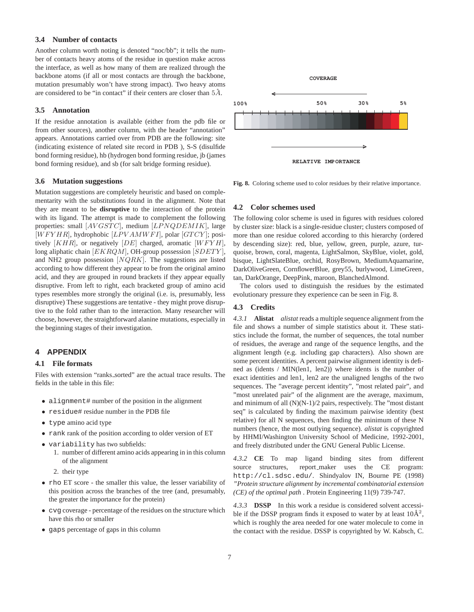#### **3.4 Number of contacts**

Another column worth noting is denoted "noc/bb"; it tells the number of contacts heavy atoms of the residue in question make across the interface, as well as how many of them are realized through the backbone atoms (if all or most contacts are through the backbone, mutation presumably won't have strong impact). Two heavy atoms are considered to be "in contact" if their centers are closer than  $5\AA$ .

## **3.5 Annotation**

If the residue annotation is available (either from the pdb file or from other sources), another column, with the header "annotation" appears. Annotations carried over from PDB are the following: site (indicating existence of related site record in PDB ), S-S (disulfide bond forming residue), hb (hydrogen bond forming residue, jb (james bond forming residue), and sb (for salt bridge forming residue).

#### **3.6 Mutation suggestions**

Mutation suggestions are completely heuristic and based on complementarity with the substitutions found in the alignment. Note that they are meant to be **disruptive** to the interaction of the protein with its ligand. The attempt is made to complement the following properties: small  $[AVGSTC]$ , medium  $[LPNQDEMIK]$ , large  $[WFYHR]$ , hydrophobic  $[LPVAMWFI]$ , polar  $[GTCY]$ ; positively  $[KHR]$ , or negatively  $[DE]$  charged, aromatic  $[WFYH]$ , long aliphatic chain [EKRQM], OH-group possession [SDETY], and NH2 group possession  $[NQRK]$ . The suggestions are listed according to how different they appear to be from the original amino acid, and they are grouped in round brackets if they appear equally disruptive. From left to right, each bracketed group of amino acid types resembles more strongly the original (i.e. is, presumably, less disruptive) These suggestions are tentative - they might prove disruptive to the fold rather than to the interaction. Many researcher will choose, however, the straightforward alanine mutations, especially in the beginning stages of their investigation.

## **4 APPENDIX**

#### **4.1 File formats**

Files with extension "ranks\_sorted" are the actual trace results. The fields in the table in this file:

- alignment# number of the position in the alignment
- residue# residue number in the PDB file
- type amino acid type
- rank rank of the position according to older version of ET
- variability has two subfields:
	- 1. number of different amino acids appearing in in this column of the alignment
	- 2. their type
- rho ET score the smaller this value, the lesser variability of this position across the branches of the tree (and, presumably, the greater the importance for the protein)
- cvg coverage percentage of the residues on the structure which have this rho or smaller
- gaps percentage of gaps in this column



**Fig. 8.** Coloring scheme used to color residues by their relative importance.

#### **4.2 Color schemes used**

The following color scheme is used in figures with residues colored by cluster size: black is a single-residue cluster; clusters composed of more than one residue colored according to this hierarchy (ordered by descending size): red, blue, yellow, green, purple, azure, turquoise, brown, coral, magenta, LightSalmon, SkyBlue, violet, gold, bisque, LightSlateBlue, orchid, RosyBrown, MediumAquamarine, DarkOliveGreen, CornflowerBlue, grey55, burlywood, LimeGreen, tan, DarkOrange, DeepPink, maroon, BlanchedAlmond.

The colors used to distinguish the residues by the estimated evolutionary pressure they experience can be seen in Fig. 8.

#### **4.3 Credits**

*4.3.1* **Alistat** *alistat* reads a multiple sequence alignment from the file and shows a number of simple statistics about it. These statistics include the format, the number of sequences, the total number of residues, the average and range of the sequence lengths, and the alignment length (e.g. including gap characters). Also shown are some percent identities. A percent pairwise alignment identity is defined as (idents / MIN(len1, len2)) where idents is the number of exact identities and len1, len2 are the unaligned lengths of the two sequences. The "average percent identity", "most related pair", and "most unrelated pair" of the alignment are the average, maximum, and minimum of all (N)(N-1)/2 pairs, respectively. The "most distant seq" is calculated by finding the maximum pairwise identity (best relative) for all N sequences, then finding the minimum of these N numbers (hence, the most outlying sequence). *alistat* is copyrighted by HHMI/Washington University School of Medicine, 1992-2001, and freely distributed under the GNU General Public License.

*4.3.2* **CE** To map ligand binding sites from different source structures, report\_maker uses the CE program: http://cl.sdsc.edu/. Shindyalov IN, Bourne PE (1998) *"Protein structure alignment by incremental combinatorial extension (CE) of the optimal path* . Protein Engineering 11(9) 739-747.

*4.3.3* **DSSP** In this work a residue is considered solvent accessible if the DSSP program finds it exposed to water by at least  $10\text{\AA}^2$ , which is roughly the area needed for one water molecule to come in the contact with the residue. DSSP is copyrighted by W. Kabsch, C.